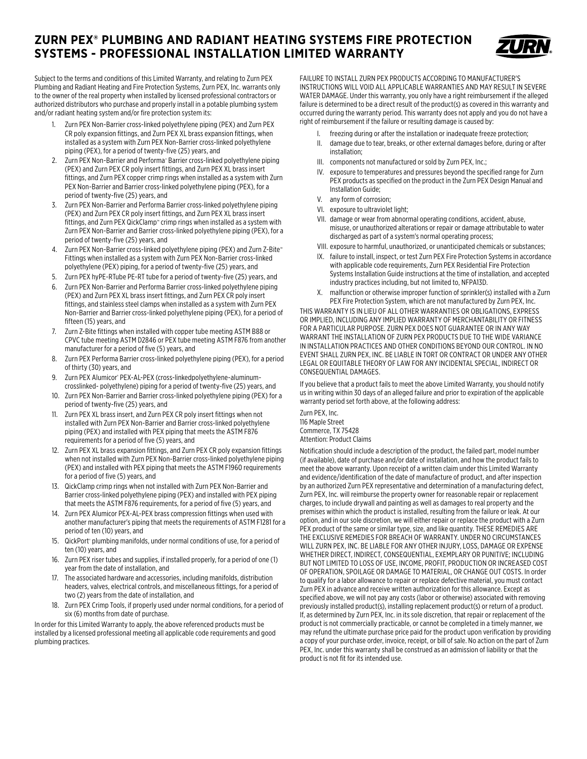## **ZURN PEX® PLUMBING AND RADIANT HEATING SYSTEMS FIRE PROTECTION SYSTEMS - PROFESSIONAL INSTALLATION LIMITED WARRANTY**



Subject to the terms and conditions of this Limited Warranty, and relating to Zurn PEX Plumbing and Radiant Heating and Fire Protection Systems, Zurn PEX, Inc. warrants only to the owner of the real property when installed by licensed professional contractors or authorized distributors who purchase and properly install in a potable plumbing system and/or radiant heating system and/or fire protection system its:

- 1. Zurn PEX Non-Barrier cross-linked polyethylene piping (PEX) and Zurn PEX CR poly expansion fittings, and Zurn PEX XL brass expansion fittings, when installed as a system with Zurn PEX Non-Barrier cross-linked polyethylene piping (PEX), for a period of twenty-five (25) years, and
- 2. Zurn PEX Non-Barrier and Performa® Barrier cross-linked polyethylene piping (PEX) and Zurn PEX CR poly insert fittings, and Zurn PEX XL brass insert fittings, and Zurn PEX copper crimp rings when installed as a system with Zurn PEX Non-Barrier and Barrier cross-linked polyethylene piping (PEX), for a period of twenty-five (25) years, and
- 3. Zurn PEX Non-Barrier and Performa Barrier cross-linked polyethylene piping (PEX) and Zurn PEX CR poly insert fittings, and Zurn PEX XL brass insert fittings, and Zurn PEX QickClamp<sup>™</sup> crimp rings when installed as a system with Zurn PEX Non-Barrier and Barrier cross-linked polyethylene piping (PEX), for a period of twenty-five (25) years, and
- 4. Zurn PEX Non-Barrier cross-linked polyethylene piping (PEX) and Zurn Z-Bite™ Fittings when installed as a system with Zurn PEX Non-Barrier cross-linked polyethylene (PEX) piping, for a period of twenty-five (25) years, and
- 5. Zurn PEX hyPE-RTube PE-RT tube for a period of twenty-five (25) years, and
- 6. Zurn PEX Non-Barrier and Performa Barrier cross-linked polyethylene piping (PEX) and Zurn PEX XL brass insert fittings, and Zurn PEX CR poly insert fittings, and stainless steel clamps when installed as a system with Zurn PEX Non-Barrier and Barrier cross-linked polyethylene piping (PEX), for a period of fifteen (15) years, and
- 7. Zurn Z-Bite fittings when installed with copper tube meeting ASTM B88 or CPVC tube meeting ASTM D2846 or PEX tube meeting ASTM F876 from another manufacturer for a period of five (5) years, and
- 8. Zurn PEX Performa Barrier cross-linked polyethylene piping (PEX), for a period of thirty (30) years, and
- 9. Zurn PEX Alumicor® PEX-AL-PEX (cross-linkedpolyethylene-aluminumcrosslinked- polyethylene) piping for a period of twenty-five (25) years, and
- 10. Zurn PEX Non-Barrier and Barrier cross-linked polyethylene piping (PEX) for a period of twenty-five (25) years, and
- 11. Zurn PEX XL brass insert, and Zurn PEX CR poly insert fittings when not installed with Zurn PEX Non-Barrier and Barrier cross-linked polyethylene piping (PEX) and installed with PEX piping that meets the ASTM F876 requirements for a period of five (5) years, and
- 12. Zurn PEX XL brass expansion fittings, and Zurn PEX CR poly expansion fittings when not installed with Zurn PEX Non-Barrier cross-linked polyethylene piping (PEX) and installed with PEX piping that meets the ASTM F1960 requirements for a period of five (5) years, and
- 13. QickClamp crimp rings when not installed with Zurn PEX Non-Barrier and Barrier cross-linked polyethylene piping (PEX) and installed with PEX piping that meets the ASTM F876 requirements, for a period of five (5) years, and
- 14. Zurn PEX Alumicor PEX-AL-PEX brass compression fittings when used with another manufacturer's piping that meets the requirements of ASTM F1281 for a period of ten (10) years, and
- 15. QickPort<sup>®</sup> plumbing manifolds, under normal conditions of use, for a period of ten (10) years, and
- 16. Zurn PEX riser tubes and supplies, if installed properly, for a period of one (1) year from the date of installation, and
- 17. The associated hardware and accessories, including manifolds, distribution headers, valves, electrical controls, and miscellaneous fittings, for a period of two (2) years from the date of installation, and
- 18. Zurn PEX Crimp Tools, if properly used under normal conditions, for a period of six (6) months from date of purchase.

In order for this Limited Warranty to apply, the above referenced products must be installed by a licensed professional meeting all applicable code requirements and good plumbing practices.

FAILURE TO INSTALL ZURN PEX PRODUCTS ACCORDING TO MANUFACTURER'S INSTRUCTIONS WILL VOID ALL APPLICABLE WARRANTIES AND MAY RESULT IN SEVERE WATER DAMAGE. Under this warranty, you only have a right reimbursement if the alleged failure is determined to be a direct result of the product(s) as covered in this warranty and occurred during the warranty period. This warranty does not apply and you do not have a right of reimbursement if the failure or resulting damage is caused by:

- I. freezing during or after the installation or inadequate freeze protection;
- II. damage due to tear, breaks, or other external damages before, during or after installation;
- III. components not manufactured or sold by Zurn PEX, Inc.;
- IV. exposure to temperatures and pressures beyond the specified range for Zurn PEX products as specified on the product in the Zurn PEX Design Manual and Installation Guide;
- v. any form of corrosion;
- vi. exposure to ultraviolet light;
- vii. damage or wear from abnormal operating conditions, accident, abuse, misuse, or unauthorized alterations or repair or damage attributable to water discharged as part of a system's normal operating process;
- VIII. exposure to harmful, unauthorized, or unanticipated chemicals or substances;
- IX. failure to install, inspect, or test Zurn PEX Fire Protection Systems in accordance with applicable code requirements, Zurn PEX Residential Fire Protection Systems Installation Guide instructions at the time of installation, and accepted industry practices including, but not limited to, NFPA13D.
- x. malfunction or otherwise improper function of sprinkler(s) installed with a Zurn PEX Fire Protection System, which are not manufactured by Zurn PEX, Inc.

THIS WARRANTY IS IN LIEU OF ALL OTHER WARRANTIES OR OBLIGATIONS, EXPRESS OR IMPLIED, INCLUDING ANY IMPLIED WARRANTY OF MERCHANTABILITY OR FITNESS FOR A PARTICULAR PURPOSE. ZURN PEX DOES NOT GUARANTEE OR IN ANY WAY WARRANT THE INSTALLATION OF ZURN PEX PRODUCTS DUE TO THE WIDE VARIANCE IN INSTALLATION PRACTICES AND OTHER CONDITIONS BEYOND OUR CONTROL. IN NO EVENT SHALL ZURN PEX, INC. BE LIABLE IN TORT OR CONTRACT OR UNDER ANY OTHER LEGAL OR EQUITABLE THEORY OF LAW FOR ANY INCIDENTAL SPECIAL, INDIRECT OR CONSEQUENTIAL DAMAGES.

If you believe that a product fails to meet the above Limited Warranty, you should notify us in writing within 30 days of an alleged failure and prior to expiration of the applicable warranty period set forth above, at the following address:

Zurn PEX, Inc. 116 Maple Street Commerce, TX 75428 Attention: Product Claims

Notification should include a description of the product, the failed part, model number (if available), date of purchase and/or date of installation, and how the product fails to meet the above warranty. Upon receipt of a written claim under this Limited Warranty and evidence/identification of the date of manufacture of product, and after inspection by an authorized Zurn PEX representative and determination of a manufacturing defect, Zurn PEX, Inc. will reimburse the property owner for reasonable repair or replacement charges, to include drywall and painting as well as damages to real property and the premises within which the product is installed, resulting from the failure or leak. At our option, and in our sole discretion, we will either repair or replace the product with a Zurn PEX product of the same or similar type, size, and like quantity. THESE REMEDIES ARE THE EXCLUSIVE REMEDIES FOR BREACH OF WARRANTY. UNDER NO CIRCUMSTANCES WILL ZURN PEX, INC. BE LIABLE FOR ANY OTHER INJURY, LOSS, DAMAGE OR EXPENSE WHETHER DIRECT, INDIRECT, CONSEQUENTIAL, EXEMPLARY OR PUNITIVE; INCLUDING BUT NOT LIMITED TO LOSS OF USE, INCOME, PROFIT, PRODUCTION OR INCREASED COST OF OPERATION, SPOILAGE OR DAMAGE TO MATERIAL, OR CHANGE OUT COSTS. In order to qualify for a labor allowance to repair or replace defective material, you must contact Zurn PEX in advance and receive written authorization for this allowance. Except as specified above, we will not pay any costs (labor or otherwise) associated with removing previously installed product(s), installing replacement product(s) or return of a product. If, as determined by Zurn PEX, Inc. in its sole discretion, that repair or replacement of the product is not commercially practicable, or cannot be completed in a timely manner, we may refund the ultimate purchase price paid for the product upon verification by providing a copy of your purchase order, invoice, receipt, or bill of sale. No action on the part of Zurn PEX, Inc. under this warranty shall be construed as an admission of liability or that the product is not fit for its intended use.